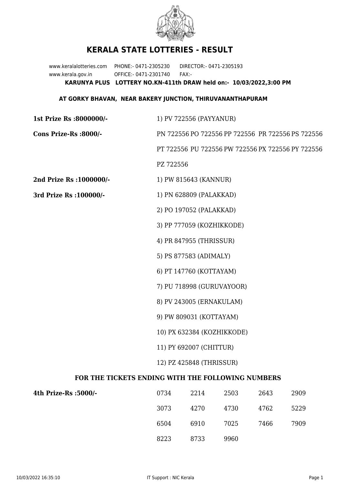

## **KERALA STATE LOTTERIES - RESULT**

www.keralalotteries.com PHONE:- 0471-2305230 DIRECTOR:- 0471-2305193 www.kerala.gov.in OFFICE:- 0471-2301740 FAX:- **KARUNYA PLUS LOTTERY NO.KN-411th DRAW held on:- 10/03/2022,3:00 PM**

## **AT GORKY BHAVAN, NEAR BAKERY JUNCTION, THIRUVANANTHAPURAM**

| 1st Prize Rs :8000000/-                           | 1) PV 722556 (PAYYANUR)                                                                                      |                       |      |      |      |
|---------------------------------------------------|--------------------------------------------------------------------------------------------------------------|-----------------------|------|------|------|
| Cons Prize-Rs :8000/-                             | PN 722556 PO 722556 PP 722556 PR 722556 PS 722556                                                            |                       |      |      |      |
|                                                   | PT 722556 PU 722556 PW 722556 PX 722556 PY 722556                                                            |                       |      |      |      |
|                                                   | PZ 722556                                                                                                    |                       |      |      |      |
| 2nd Prize Rs : 1000000/-                          |                                                                                                              | 1) PW 815643 (KANNUR) |      |      |      |
| 3rd Prize Rs : 100000/-                           | 1) PN 628809 (PALAKKAD)                                                                                      |                       |      |      |      |
|                                                   | 2) PO 197052 (PALAKKAD)                                                                                      |                       |      |      |      |
|                                                   | 3) PP 777059 (KOZHIKKODE)                                                                                    |                       |      |      |      |
|                                                   | 4) PR 847955 (THRISSUR)                                                                                      |                       |      |      |      |
|                                                   | 5) PS 877583 (ADIMALY)                                                                                       |                       |      |      |      |
|                                                   | 6) PT 147760 (KOTTAYAM)                                                                                      |                       |      |      |      |
|                                                   | 7) PU 718998 (GURUVAYOOR)                                                                                    |                       |      |      |      |
|                                                   | 8) PV 243005 (ERNAKULAM)                                                                                     |                       |      |      |      |
|                                                   | 9) PW 809031 (KOTTAYAM)<br>10) PX 632384 (KOZHIKKODE)<br>11) PY 692007 (CHITTUR)<br>12) PZ 425848 (THRISSUR) |                       |      |      |      |
|                                                   |                                                                                                              |                       |      |      |      |
|                                                   |                                                                                                              |                       |      |      |      |
|                                                   |                                                                                                              |                       |      |      |      |
| FOR THE TICKETS ENDING WITH THE FOLLOWING NUMBERS |                                                                                                              |                       |      |      |      |
| 4th Prize-Rs : 5000/-                             | 0734                                                                                                         | 2214                  | 2503 | 2643 | 2909 |
|                                                   | 3073                                                                                                         | 4270                  | 4730 | 4762 | 5229 |

| 6504 | 6910 | 7025 | 7466 | 7909 |
|------|------|------|------|------|
| 8223 | 8733 | 9960 |      |      |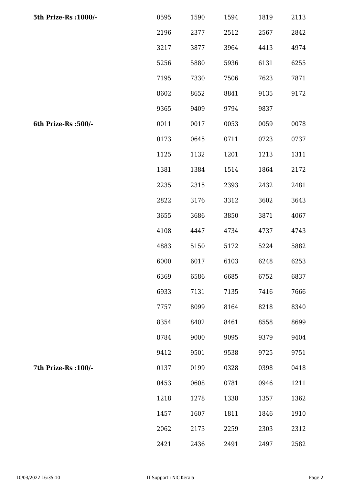| 5th Prize-Rs : 1000/- | 0595 | 1590 | 1594 | 1819 | 2113 |
|-----------------------|------|------|------|------|------|
|                       | 2196 | 2377 | 2512 | 2567 | 2842 |
|                       | 3217 | 3877 | 3964 | 4413 | 4974 |
|                       | 5256 | 5880 | 5936 | 6131 | 6255 |
|                       | 7195 | 7330 | 7506 | 7623 | 7871 |
|                       | 8602 | 8652 | 8841 | 9135 | 9172 |
|                       | 9365 | 9409 | 9794 | 9837 |      |
| 6th Prize-Rs :500/-   | 0011 | 0017 | 0053 | 0059 | 0078 |
|                       | 0173 | 0645 | 0711 | 0723 | 0737 |
|                       | 1125 | 1132 | 1201 | 1213 | 1311 |
|                       | 1381 | 1384 | 1514 | 1864 | 2172 |
|                       | 2235 | 2315 | 2393 | 2432 | 2481 |
|                       | 2822 | 3176 | 3312 | 3602 | 3643 |
|                       | 3655 | 3686 | 3850 | 3871 | 4067 |
|                       | 4108 | 4447 | 4734 | 4737 | 4743 |
|                       | 4883 | 5150 | 5172 | 5224 | 5882 |
|                       | 6000 | 6017 | 6103 | 6248 | 6253 |
|                       | 6369 | 6586 | 6685 | 6752 | 6837 |
|                       | 6933 | 7131 | 7135 | 7416 | 7666 |
|                       | 7757 | 8099 | 8164 | 8218 | 8340 |
|                       | 8354 | 8402 | 8461 | 8558 | 8699 |
|                       | 8784 | 9000 | 9095 | 9379 | 9404 |
|                       | 9412 | 9501 | 9538 | 9725 | 9751 |
| 7th Prize-Rs : 100/-  | 0137 | 0199 | 0328 | 0398 | 0418 |
|                       | 0453 | 0608 | 0781 | 0946 | 1211 |
|                       | 1218 | 1278 | 1338 | 1357 | 1362 |
|                       | 1457 | 1607 | 1811 | 1846 | 1910 |
|                       | 2062 | 2173 | 2259 | 2303 | 2312 |
|                       | 2421 | 2436 | 2491 | 2497 | 2582 |